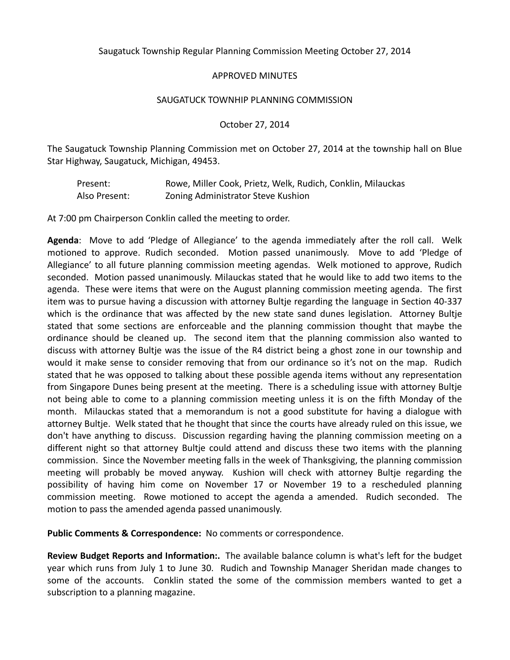Saugatuck Township Regular Planning Commission Meeting October 27, 2014

## APPROVED MINUTES

#### SAUGATUCK TOWNHIP PLANNING COMMISSION

#### October 27, 2014

The Saugatuck Township Planning Commission met on October 27, 2014 at the township hall on Blue Star Highway, Saugatuck, Michigan, 49453.

| Present:      | Rowe, Miller Cook, Prietz, Welk, Rudich, Conklin, Milauckas |
|---------------|-------------------------------------------------------------|
| Also Present: | Zoning Administrator Steve Kushion                          |

At 7:00 pm Chairperson Conklin called the meeting to order.

**Agenda**: Move to add 'Pledge of Allegiance' to the agenda immediately after the roll call. Welk motioned to approve. Rudich seconded. Motion passed unanimously. Move to add 'Pledge of Allegiance' to all future planning commission meeting agendas. Welk motioned to approve, Rudich seconded. Motion passed unanimously. Milauckas stated that he would like to add two items to the agenda. These were items that were on the August planning commission meeting agenda. The first item was to pursue having a discussion with attorney Bultje regarding the language in Section 40-337 which is the ordinance that was affected by the new state sand dunes legislation. Attorney Bultje stated that some sections are enforceable and the planning commission thought that maybe the ordinance should be cleaned up. The second item that the planning commission also wanted to discuss with attorney Bultje was the issue of the R4 district being a ghost zone in our township and would it make sense to consider removing that from our ordinance so it's not on the map. Rudich stated that he was opposed to talking about these possible agenda items without any representation from Singapore Dunes being present at the meeting. There is a scheduling issue with attorney Bultje not being able to come to a planning commission meeting unless it is on the fifth Monday of the month. Milauckas stated that a memorandum is not a good substitute for having a dialogue with attorney Bultje. Welk stated that he thought that since the courts have already ruled on this issue, we don't have anything to discuss. Discussion regarding having the planning commission meeting on a different night so that attorney Bultje could attend and discuss these two items with the planning commission. Since the November meeting falls in the week of Thanksgiving, the planning commission meeting will probably be moved anyway. Kushion will check with attorney Bultje regarding the possibility of having him come on November 17 or November 19 to a rescheduled planning commission meeting. Rowe motioned to accept the agenda a amended. Rudich seconded. The motion to pass the amended agenda passed unanimously.

**Public Comments & Correspondence:** No comments or correspondence.

**Review Budget Reports and Information:.** The available balance column is what's left for the budget year which runs from July 1 to June 30. Rudich and Township Manager Sheridan made changes to some of the accounts. Conklin stated the some of the commission members wanted to get a subscription to a planning magazine.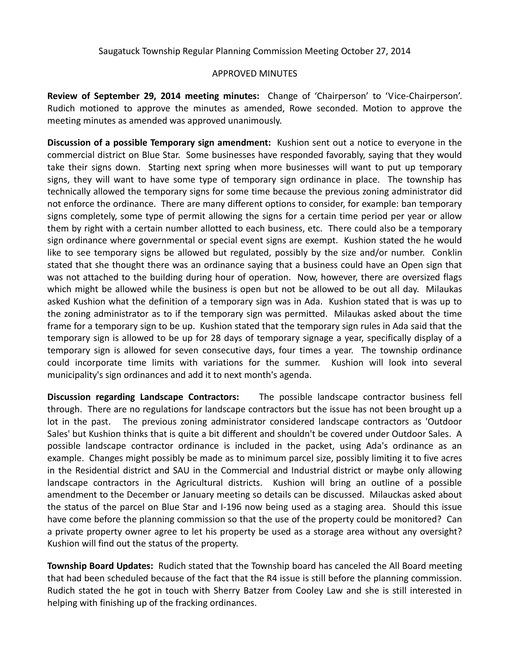Saugatuck Township Regular Planning Commission Meeting October 27, 2014

### APPROVED MINUTES

**Review of September 29, 2014 meeting minutes:** Change of 'Chairperson' to 'Vice-Chairperson'. Rudich motioned to approve the minutes as amended, Rowe seconded. Motion to approve the meeting minutes as amended was approved unanimously.

**Discussion of a possible Temporary sign amendment:** Kushion sent out a notice to everyone in the commercial district on Blue Star. Some businesses have responded favorably, saying that they would take their signs down. Starting next spring when more businesses will want to put up temporary signs, they will want to have some type of temporary sign ordinance in place. The township has technically allowed the temporary signs for some time because the previous zoning administrator did not enforce the ordinance. There are many different options to consider, for example: ban temporary signs completely, some type of permit allowing the signs for a certain time period per year or allow them by right with a certain number allotted to each business, etc. There could also be a temporary sign ordinance where governmental or special event signs are exempt. Kushion stated the he would like to see temporary signs be allowed but regulated, possibly by the size and/or number. Conklin stated that she thought there was an ordinance saying that a business could have an Open sign that was not attached to the building during hour of operation. Now, however, there are oversized flags which might be allowed while the business is open but not be allowed to be out all day. Milaukas asked Kushion what the definition of a temporary sign was in Ada. Kushion stated that is was up to the zoning administrator as to if the temporary sign was permitted. Milaukas asked about the time frame for a temporary sign to be up. Kushion stated that the temporary sign rules in Ada said that the temporary sign is allowed to be up for 28 days of temporary signage a year, specifically display of a temporary sign is allowed for seven consecutive days, four times a year. The township ordinance could incorporate time limits with variations for the summer. Kushion will look into several municipality's sign ordinances and add it to next month's agenda.

**Discussion regarding Landscape Contractors:** The possible landscape contractor business fell through. There are no regulations for landscape contractors but the issue has not been brought up a lot in the past. The previous zoning administrator considered landscape contractors as 'Outdoor Sales' but Kushion thinks that is quite a bit different and shouldn't be covered under Outdoor Sales. A possible landscape contractor ordinance is included in the packet, using Ada's ordinance as an example. Changes might possibly be made as to minimum parcel size, possibly limiting it to five acres in the Residential district and SAU in the Commercial and Industrial district or maybe only allowing landscape contractors in the Agricultural districts. Kushion will bring an outline of a possible amendment to the December or January meeting so details can be discussed. Milauckas asked about the status of the parcel on Blue Star and I-196 now being used as a staging area. Should this issue have come before the planning commission so that the use of the property could be monitored? Can a private property owner agree to let his property be used as a storage area without any oversight? Kushion will find out the status of the property.

**Township Board Updates:** Rudich stated that the Township board has canceled the All Board meeting that had been scheduled because of the fact that the R4 issue is still before the planning commission. Rudich stated the he got in touch with Sherry Batzer from Cooley Law and she is still interested in helping with finishing up of the fracking ordinances.